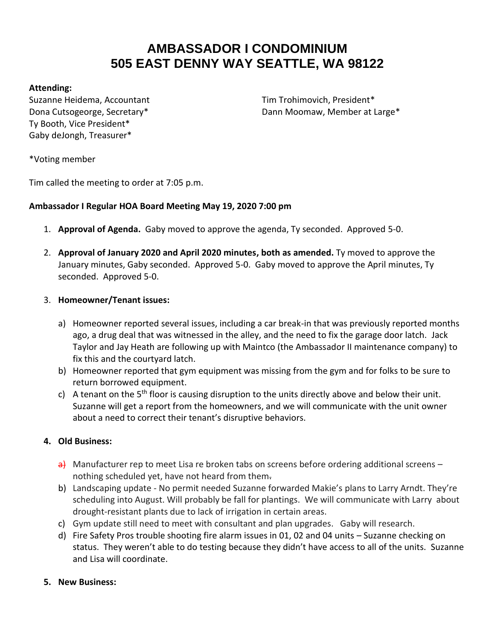# **AMBASSADOR I CONDOMINIUM 505 EAST DENNY WAY SEATTLE, WA 98122**

#### **Attending:**

Suzanne Heidema, Accountant Tim Trohimovich, President\* Ty Booth, Vice President\* Gaby deJongh, Treasurer\*

Dona Cutsogeorge, Secretary\* The Connection of Dann Moomaw, Member at Large\*

\*Voting member

Tim called the meeting to order at 7:05 p.m.

### **Ambassador I Regular HOA Board Meeting May 19, 2020 7:00 pm**

- 1. **Approval of Agenda.** Gaby moved to approve the agenda, Ty seconded. Approved 5-0.
- 2. **Approval of January 2020 and April 2020 minutes, both as amended.** Ty moved to approve the January minutes, Gaby seconded. Approved 5-0. Gaby moved to approve the April minutes, Ty seconded. Approved 5-0.

#### 3. **Homeowner/Tenant issues:**

- a) Homeowner reported several issues, including a car break-in that was previously reported months ago, a drug deal that was witnessed in the alley, and the need to fix the garage door latch. Jack Taylor and Jay Heath are following up with Maintco (the Ambassador II maintenance company) to fix this and the courtyard latch.
- b) Homeowner reported that gym equipment was missing from the gym and for folks to be sure to return borrowed equipment.
- c) A tenant on the  $5<sup>th</sup>$  floor is causing disruption to the units directly above and below their unit. Suzanne will get a report from the homeowners, and we will communicate with the unit owner about a need to correct their tenant's disruptive behaviors.

## **4. Old Business:**

- $\overrightarrow{a}$  Manufacturer rep to meet Lisa re broken tabs on screens before ordering additional screens nothing scheduled yet, have not heard from them.
- b) Landscaping update No permit needed Suzanne forwarded Makie's plans to Larry Arndt. They're scheduling into August. Will probably be fall for plantings. We will communicate with Larry about drought-resistant plants due to lack of irrigation in certain areas.
- c) Gym update still need to meet with consultant and plan upgrades. Gaby will research.
- d) Fire Safety Pros trouble shooting fire alarm issues in 01, 02 and 04 units Suzanne checking on status. They weren't able to do testing because they didn't have access to all of the units. Suzanne and Lisa will coordinate.

## **5. New Business:**